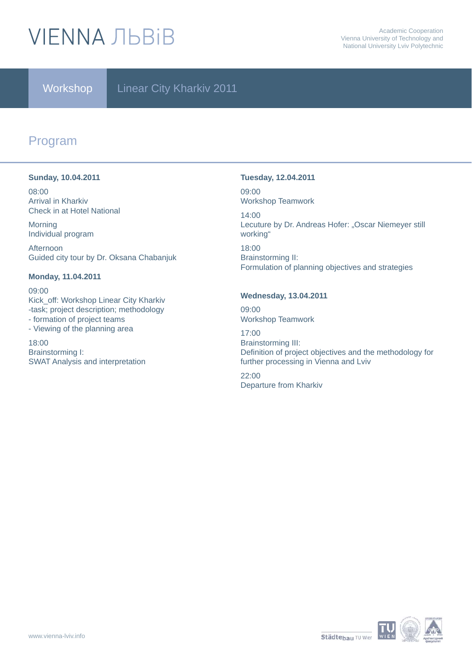# **VIENNA ЛЬВІВ**

### Workshop | Linear City Kharkiv 2011

### Program

### **Sunday, 10.04.2011**

08:00 Arrival in Kharkiv Check in at Hotel National

Morning Individual program

Afternoon Guided city tour by Dr. Oksana Chabanjuk

### **Monday, 11.04.2011**

09:00 Kick\_off: Workshop Linear City Kharkiv -task; project description; methodology - formation of project teams - Viewing of the planning area 18:00

Brainstorming I: SWAT Analysis and interpretation

### **Tuesday, 12.04.2011**

09:00 Workshop Teamwork

14:00 Lecuture by Dr. Andreas Hofer: "Oscar Niemeyer still working" 18:00 Brainstorming II: Formulation of planning objectives and strategies

### **Wednesday, 13.04.2011**

09:00 Workshop Teamwork

17:00 Brainstorming III: Definition of project objectives and the methodology for further processing in Vienna and Lviv 22:00 Departure from Kharkiv